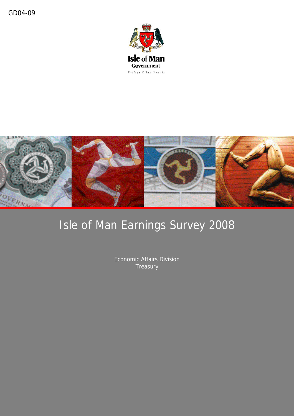



# Isle of Man Earnings Survey 2008

Economic Affairs Division **Treasury**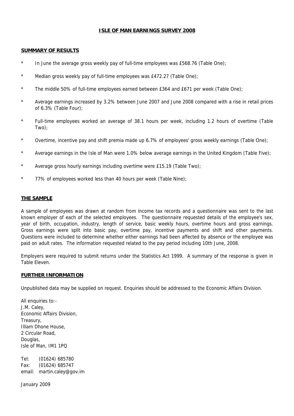### **ISLE OF MAN EARNINGS SURVEY 2008**

### **SUMMARY OF RESULTS**

- \* In June the average gross weekly pay of full-time employees was £568.76 (Table One);
- \* Median gross weekly pay of full-time employees was £472.27 (Table One);
- \* The middle 50% of full-time employees earned between £364 and £671 per week (Table One);
- \* Average earnings increased by 3.2% between June 2007 and June 2008 compared with a rise in retail prices of 6.3% (Table Four);
- \* Full-time employees worked an average of 38.1 hours per week, including 1.2 hours of overtime (Table Two);
- \* Overtime, incentive pay and shift premia made up 6.7% of employees' gross weekly earnings (Table One);
- \* Average earnings in the Isle of Man were 1.0% below average earnings in the United Kingdom (Table Five);
- Average gross hourly earnings including overtime were £15.19 (Table Two);
- \* 77% of employees worked less than 40 hours per week (Table Nine);

### **THE SAMPLE**

A sample of employees was drawn at random from income tax records and a questionnaire was sent to the last known employer of each of the selected employees. The questionnaire requested details of the employee's sex, year of birth, occupation, industry, length of service, basic weekly hours, overtime hours and gross earnings. Gross earnings were split into basic pay, overtime pay, incentive payments and shift and other payments. Questions were included to determine whether either earnings had been affected by absence or the employee was paid on adult rates. The information requested related to the pay period including 10th June, 2008.

Employers were required to submit returns under the Statistics Act 1999. A summary of the response is given in Table Eleven.

### **FURTHER INFORMATION**

Unpublished data may be supplied on request. Enquiries should be addressed to the Economic Affairs Division.

All enquiries to:-J.M. Caley, Economic Affairs Division, Treasury, Illiam Dhone House, 2 Circular Road, Douglas, Isle of Man, IM1 1PQ

Tel: (01624) 685780 Fax: (01624) 685747 email: martin.caley@gov.im

January 2009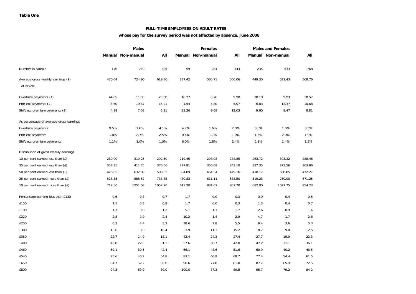#### **FULL-TIME EMPLOYEES ON ADULT RATES**

### **whose pay for the survey period was not affected by absence, June 2008**

|                                                | <b>Males</b> |                   |         | <b>Females</b> | <b>Males and Females</b> |        |        |                   |        |
|------------------------------------------------|--------------|-------------------|---------|----------------|--------------------------|--------|--------|-------------------|--------|
|                                                |              | Manual Non-manual | All     |                | Manual Non-manual        | All    |        | Manual Non-manual | All    |
| Number in sample                               | 176          | 249               | 425     | 59             | 284                      | 343    | 235    | 533               | 768    |
| Average gross weekly earnings (£)<br>of which: | 470.04       | 724.90            | 619.36  | 387.42         | 530.71                   | 506.06 | 449.30 | 621.43            | 568.76 |
| Overtime payments (£)                          | 44.85        | 11.83             | 25.50   | 18.27          | 8.26                     | 9.98   | 38.18  | 9.93              | 18.57  |
| PBR etc payments (£)                           | 8.60         | 19.87             | 15.21   | 1.54           | 5.80                     | 5.07   | 6.83   | 12.37             | 10.68  |
| Shift etc premium payments (£)                 | 4.98         | 7.08              | 6.21    | 23.36          | 9.68                     | 12.03  | 9.60   | 8.47              | 8.81   |
| As percentage of average gross earnings        |              |                   |         |                |                          |        |        |                   |        |
| Overtime payments                              | 9.5%         | 1.6%              | 4.1%    | 4.7%           | 1.6%                     | 2.0%   | 8.5%   | 1.6%              | 3.3%   |
| PBR etc payments                               | 1.8%         | 2.7%              | 2.5%    | 0.4%           | 1.1%                     | 1.0%   | 1.5%   | 2.0%              | 1.9%   |
| Shift etc premium payments                     | 1.1%         | 1.0%              | 1.0%    | 6.0%           | 1.8%                     | 2.4%   | 2.1%   | 1.4%              | 1.5%   |
| Distribution of gross weekly earnings          |              |                   |         |                |                          |        |        |                   |        |
| 10 per cent earned less than (£)               | 280.00       | 319.25            | 292.50  | 219.45         | 298.08                   | 278.85 | 263.72 | 303.32            | 288.46 |
| 25 per cent earned less than (£)               | 357.35       | 411.75            | 376.66  | 277.81         | 356.08                   | 343.10 | 337.35 | 373.56            | 363.96 |
| 50 per cent earned less than (£)               | 426.05       | 632.89            | 508.85  | 364.89         | 461.54                   | 449.16 | 410.17 | 508.85            | 472.27 |
| 25 per cent earned more than (£)               | 528.35       | 888.52            | 733.85  | 480.83         | 611.11                   | 588.50 | 519.23 | 750.00            | 671.25 |
| 10 per cent earned more than $(E)$             | 712.50       | 1251.08           | 1057.70 | 613.20         | 831.67                   | 807.70 | 682.00 | 1027.75           | 954.23 |
| Percentage earning less than £130              | 0.6          | 0.8               | 0.7     | 1.7            | 0.0                      | 0.3    | 0.9    | 0.4               | 0.5    |
| £150                                           | 1.1          | 0.8               | 0.9     | 1.7            | 0.0                      | 0.3    | 1.3    | 0.4               | 0.7    |
| £190                                           | 1.7          | 0.8               | 1.2     | 5.1            | 1.1                      | 1.7    | 2.6    | 0.9               | 1.4    |
| £220                                           | 2.8          | 2.0               | 2.4     | 10.2           | 1.4                      | 2.9    | 4.7    | 1.7               | 2.6    |
| £250                                           | 6.3          | 4.4               | 5.2     | 18.6           | 2.8                      | 5.5    | 9.4    | 3.6               | 5.3    |
| £300                                           | 13.6         | 8.0               | 10.4    | 33.9           | 11.3                     | 15.2   | 18.7   | 9.8               | 12.5   |
| £350                                           | 22.7         | 14.9              | 18.1    | 42.4           | 24.3                     | 27.4   | 27.7   | 19.9              | 22.3   |
| £400                                           | 43.8         | 22.5              | 31.3    | 57.6           | 38.7                     | 42.0   | 47.2   | 31.1              | 36.1   |
| £460                                           | 59.1         | 30.5              | 42.4    | 66.1           | 48.6                     | 51.6   | 60.9   | 40.2              | 46.5   |
| £540                                           | 75.6         | 40.2              | 54.8    | 83.1           | 66.9                     | 69.7   | 77.4   | 54.4              | 61.5   |
| £650                                           | 84.7         | 52.2              | 65.6    | 96.6           | 77.8                     | 81.0   | 87.7   | 65.9              | 72.5   |
| £800                                           | 94.3         | 69.9              | 80.0    | 100.0          | 87.3                     | 89.5   | 95.7   | 79.2              | 84.2   |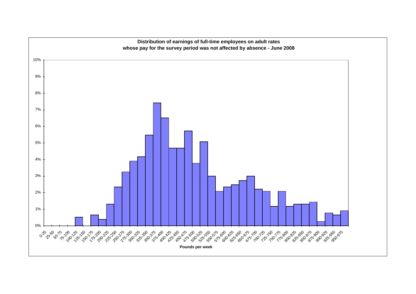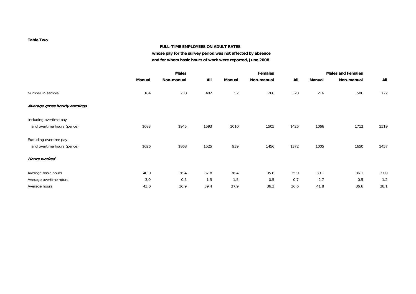#### **Table Two**

#### **FULL-TIME EMPLOYEES ON ADULT RATES**

**whose pay for the survey period was not affected by absence and for whom basic hours of work were reported, June 2008**

|                               |        | <b>Males</b> |      |        | <b>Females</b> |      |        | <b>Males and Females</b> |      |  |
|-------------------------------|--------|--------------|------|--------|----------------|------|--------|--------------------------|------|--|
|                               | Manual | Non-manual   | All  | Manual | Non-manual     | All  | Manual | Non-manual               | All  |  |
| Number in sample              | 164    | 238          | 402  | 52     | 268            | 320  | 216    | 506                      | 722  |  |
| Average gross hourly earnings |        |              |      |        |                |      |        |                          |      |  |
| Including overtime pay        |        |              |      |        |                |      |        |                          |      |  |
| and overtime hours (pence)    | 1083   | 1945         | 1593 | 1010   | 1505           | 1425 | 1066   | 1712                     | 1519 |  |
| Excluding overtime pay        |        |              |      |        |                |      |        |                          |      |  |
| and overtime hours (pence)    | 1026   | 1868         | 1525 | 939    | 1456           | 1372 | 1005   | 1650                     | 1457 |  |
| <b>Hours worked</b>           |        |              |      |        |                |      |        |                          |      |  |
| Average basic hours           | 40.0   | 36.4         | 37.8 | 36.4   | 35.8           | 35.9 | 39.1   | 36.1                     | 37.0 |  |
| Average overtime hours        | 3.0    | 0.5          | 1.5  | 1.5    | 0.5            | 0.7  | 2.7    | 0.5                      | 1.2  |  |
| Average hours                 | 43.0   | 36.9         | 39.4 | 37.9   | 36.3           | 36.6 | 41.8   | 36.6                     | 38.1 |  |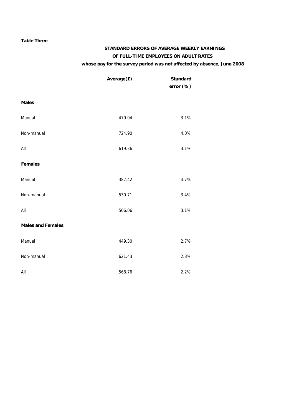### **Table Three**

### **STANDARD ERRORS OF AVERAGE WEEKLY EARNINGS OF FULL-TIME EMPLOYEES ON ADULT RATES whose pay for the survey period was not affected by absence, June 2008**

|                          | Average(£) | <b>Standard</b><br>error (%) |
|--------------------------|------------|------------------------------|
| <b>Males</b>             |            |                              |
| Manual                   | 470.04     | 3.1%                         |
| Non-manual               | 724.90     | 4.0%                         |
| All                      | 619.36     | 3.1%                         |
| <b>Females</b>           |            |                              |
| Manual                   | 387.42     | 4.7%                         |
| Non-manual               | 530.71     | 3.4%                         |
| All                      | 506.06     | 3.1%                         |
| <b>Males and Females</b> |            |                              |
| Manual                   | 449.30     | 2.7%                         |
| Non-manual               | 621.43     | 2.8%                         |
| All                      | 568.76     | 2.2%                         |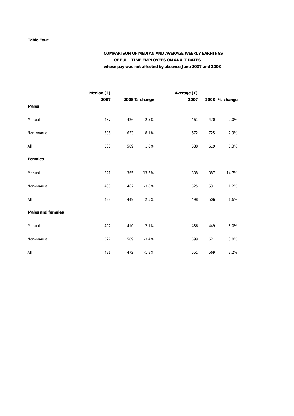#### **Table Four**

### **COMPARISON OF MEDIAN AND AVERAGE WEEKLY EARNINGS OF FULL-TIME EMPLOYEES ON ADULT RATES whose pay was not affected by absence June 2007 and 2008**

|                          | Median (£) |     |               | Average (£) |     |               |
|--------------------------|------------|-----|---------------|-------------|-----|---------------|
|                          | 2007       |     | 2008 % change | 2007        |     | 2008 % change |
| <b>Males</b>             |            |     |               |             |     |               |
| Manual                   | 437        | 426 | $-2.5%$       | 461         | 470 | 2.0%          |
| Non-manual               | 586        | 633 | 8.1%          | 672         | 725 | 7.9%          |
| All                      | 500        | 509 | 1.8%          | 588         | 619 | 5.3%          |
| <b>Females</b>           |            |     |               |             |     |               |
| Manual                   | 321        | 365 | 13.5%         | 338         | 387 | 14.7%         |
| Non-manual               | 480        | 462 | $-3.8%$       | 525         | 531 | 1.2%          |
| All                      | 438        | 449 | 2.5%          | 498         | 506 | 1.6%          |
| <b>Males and females</b> |            |     |               |             |     |               |
| Manual                   | 402        | 410 | 2.1%          | 436         | 449 | 3.0%          |
| Non-manual               | 527        | 509 | $-3.4%$       | 599         | 621 | 3.8%          |
| All                      | 481        | 472 | $-1.8%$       | 551         | 569 | 3.2%          |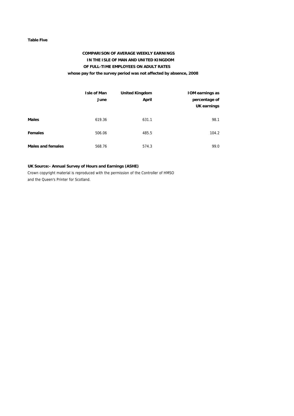#### **Table Five**

### **COMPARISON OF AVERAGE WEEKLY EARNINGS IN THE ISLE OF MAN AND UNITED KINGDOM OF FULL-TIME EMPLOYEES ON ADULT RATES whose pay for the survey period was not affected by absence, 2008**

|                          | <b>Isle of Man</b><br>June | <b>United Kingdom</b><br>April | <b>IOM earnings as</b><br>percentage of<br><b>UK earnings</b> |
|--------------------------|----------------------------|--------------------------------|---------------------------------------------------------------|
| <b>Males</b>             | 619.36                     | 631.1                          | 98.1                                                          |
| <b>Females</b>           | 506.06                     | 485.5                          | 104.2                                                         |
| <b>Males and females</b> | 568.76                     | 574.3                          | 99.0                                                          |

### **UK Source:- Annual Survey of Hours and Earnings (ASHE)**

Crown copyright material is reproduced with the permission of the Controller of HMSO and the Queen's Printer for Scotland.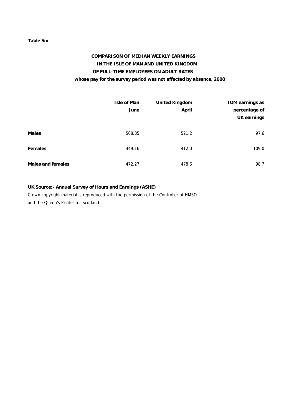### **Table Six**

### **COMPARISON OF MEDIAN WEEKLY EARNINGS IN THE ISLE OF MAN AND UNITED KINGDOM OF FULL-TIME EMPLOYEES ON ADULT RATES whose pay for the survey period was not affected by absence, 2008**

|                          | Isle of Man<br>June | <b>United Kingdom</b><br><b>April</b> | <b>IOM earnings as</b><br>percentage of<br>UK earnings |
|--------------------------|---------------------|---------------------------------------|--------------------------------------------------------|
| <b>Males</b>             | 508.85              | 521.2                                 | 97.6                                                   |
| <b>Females</b>           | 449.16              | 412.0                                 | 109.0                                                  |
| <b>Males and females</b> | 472.27              | 478.6                                 | 98.7                                                   |

### **UK Source:- Annual Survey of Hours and Earnings (ASHE)**

Crown copyright material is reproduced with the permission of the Controller of HMSO and the Queen's Printer for Scotland.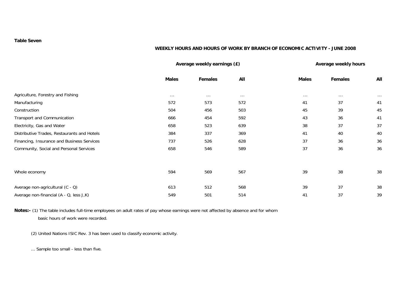### **Table Seven**

### **WEEKLY HOURS AND HOURS OF WORK BY BRANCH OF ECONOMIC ACTIVITY - JUNE 2008**

|                                             |              | Average weekly earnings (£) |          | Average weekly hours |                |          |  |
|---------------------------------------------|--------------|-----------------------------|----------|----------------------|----------------|----------|--|
|                                             | <b>Males</b> | Females                     | All      | <b>Males</b>         | <b>Females</b> | All      |  |
| Agriculture, Forestry and Fishing           | $\cdots$     | $\cdots$                    | $\cdots$ | $\cdots$             | $\cdots$       | $\cdots$ |  |
| Manufacturing                               | 572          | 573                         | 572      | 41                   | 37             | 41       |  |
| Construction                                | 504          | 456                         | 503      | 45                   | 39             | 45       |  |
| Transport and Communication                 | 666          | 454                         | 592      | 43                   | 36             | 41       |  |
| Electricity, Gas and Water                  | 658          | 523                         | 639      | 38                   | 37             | 37       |  |
| Distributive Trades, Restaurants and Hotels | 384          | 337                         | 369      | 41                   | 40             | 40       |  |
| Financing, Insurance and Business Services  | 737          | 526                         | 628      | 37                   | 36             | 36       |  |
| Community, Social and Personal Services     | 658          | 546                         | 589      | 37                   | 36             | 36       |  |
|                                             |              |                             |          |                      |                |          |  |
| Whole economy                               | 594          | 569                         | 567      | 39                   | 38             | 38       |  |
| Average non-agricultural (C - Q)            | 613          | 512                         | 568      | 39                   | 37             | 38       |  |
| Average non-financial (A - Q, less J,K)     | 549          | 501                         | 514      | 41                   | 37             | 39       |  |

**Notes:-** (1) The table includes full-time employees on adult rates of pay whose earnings were not affected by absence and for whom basic hours of work were recorded.

(2) United Nations ISIC Rev. 3 has been used to classify economic activity.

... Sample too small - less than five.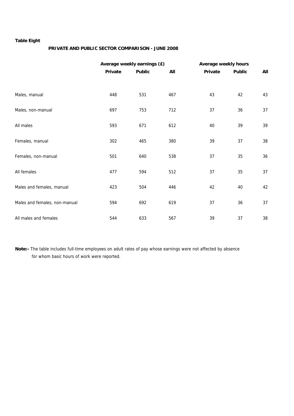### **Table Eight**

### **PRIVATE AND PUBLIC SECTOR COMPARISON - JUNE 2008**

|                               |         | Average weekly earnings (£) |     | Average weekly hours |               |     |  |  |
|-------------------------------|---------|-----------------------------|-----|----------------------|---------------|-----|--|--|
|                               | Private | <b>Public</b>               | All | Private              | <b>Public</b> | All |  |  |
|                               |         |                             |     |                      |               |     |  |  |
| Males, manual                 | 448     | 531                         | 467 | 43                   | 42            | 43  |  |  |
| Males, non-manual             | 697     | 753                         | 712 | 37                   | 36            | 37  |  |  |
| All males                     | 593     | 671                         | 612 | 40                   | 39            | 39  |  |  |
| Females, manual               | 302     | 465                         | 380 | 39                   | 37            | 38  |  |  |
| Females, non-manual           | 501     | 640                         | 538 | 37                   | 35            | 36  |  |  |
| All females                   | 477     | 594                         | 512 | 37                   | 35            | 37  |  |  |
| Males and females, manual     | 423     | 504                         | 446 | 42                   | 40            | 42  |  |  |
| Males and females, non-manual | 594     | 692                         | 619 | 37                   | 36            | 37  |  |  |
| All males and females         | 544     | 633                         | 567 | 39                   | 37            | 38  |  |  |

**Note:-** The table includes full-time employees on adult rates of pay whose earnings were not affected by absence for whom basic hours of work were reported.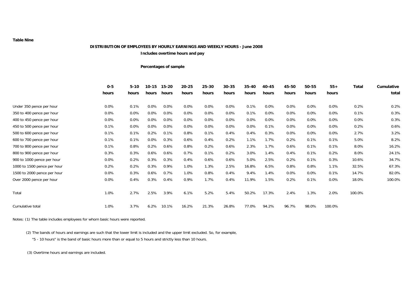#### **DISTRIBUTION OF EMPLOYEES BY HOURLY EARNINGS AND WEEKLY HOURS - June 2008**

**Includes overtime hours and pay**

#### **Percentages of sample**

|                             | $0 - 5$ | $5 - 10$ | 10-15   | 15-20 | $20 - 25$ | 25-30 | $30 - 35$ | 35-40 | 40-45   | 45-50   | 50-55   | $55+$   | <b>Total</b> | Cumulative |
|-----------------------------|---------|----------|---------|-------|-----------|-------|-----------|-------|---------|---------|---------|---------|--------------|------------|
|                             | hours   | hours    | hours   | hours | hours     | hours | hours     | hours | hours   | hours   | hours   | hours   |              | total      |
| Under 350 pence per hour    | $0.0\%$ | 0.1%     | $0.0\%$ | 0.0%  | 0.0%      | 0.0%  | 0.0%      | 0.1%  | $0.0\%$ | $0.0\%$ | $0.0\%$ | 0.0%    | 0.2%         | 0.2%       |
| 350 to 400 pence per hour   | 0.0%    | 0.0%     | 0.0%    | 0.0%  | 0.0%      | 0.0%  | 0.0%      | 0.1%  | $0.0\%$ | 0.0%    | $0.0\%$ | 0.0%    | 0.1%         | 0.3%       |
| 400 to 450 pence per hour   | 0.0%    | 0.0%     | 0.0%    | 0.0%  | 0.0%      | 0.0%  | 0.0%      | 0.0%  | 0.0%    | $0.0\%$ | 0.0%    | 0.0%    | $0.0\%$      | 0.3%       |
| 450 to 500 pence per hour   | 0.1%    | 0.0%     | 0.0%    | 0.0%  | 0.0%      | 0.0%  | 0.0%      | 0.0%  | 0.1%    | 0.0%    | $0.0\%$ | 0.0%    | 0.2%         | 0.6%       |
| 500 to 600 pence per hour   | 0.1%    | 0.1%     | 0.2%    | 0.1%  | 0.8%      | 0.1%  | 0.4%      | 0.4%  | 0.3%    | $0.0\%$ | $0.0\%$ | $0.0\%$ | 2.7%         | 3.2%       |
| 600 to 700 pence per hour   | 0.1%    | 0.1%     | 0.0%    | 0.3%  | 0.6%      | 0.4%  | 0.2%      | 1.1%  | 1.7%    | 0.2%    | 0.1%    | 0.1%    | 5.0%         | 8.2%       |
| 700 to 800 pence per hour   | 0.1%    | 0.8%     | 0.2%    | 0.6%  | 0.8%      | 0.2%  | 0.6%      | 2.3%  | 1.7%    | 0.6%    | 0.1%    | 0.1%    | 8.0%         | 16.2%      |
| 800 to 900 pence per hour   | 0.3%    | 0.3%     | 0.6%    | 0.6%  | 0.7%      | 0.1%  | 0.2%      | 3.0%  | 1.4%    | 0.4%    | 0.1%    | 0.2%    | 8.0%         | 24.1%      |
| 900 to 1000 pence per hour  | 0.0%    | 0.2%     | 0.3%    | 0.3%  | 0.4%      | 0.6%  | 0.6%      | 5.0%  | 2.5%    | 0.2%    | 0.1%    | 0.3%    | 10.6%        | 34.7%      |
| 1000 to 1500 pence per hour | 0.2%    | 0.2%     | 0.3%    | 0.9%  | 1.0%      | 1.3%  | 2.5%      | 16.8% | 6.5%    | 0.8%    | 0.8%    | 1.1%    | 32.5%        | 67.3%      |
| 1500 to 2000 pence per hour | 0.0%    | 0.3%     | 0.6%    | 0.7%  | 1.0%      | 0.8%  | 0.4%      | 9.4%  | 1.4%    | $0.0\%$ | 0.0%    | 0.1%    | 14.7%        | 82.0%      |
| Over 2000 pence per hour    | 0.0%    | 0.4%     | 0.3%    | 0.4%  | 0.9%      | 1.7%  | 0.4%      | 11.9% | 1.5%    | 0.2%    | 0.1%    | 0.0%    | 18.0%        | 100.0%     |
| Total                       | 1.0%    | 2.7%     | 2.5%    | 3.9%  | 6.1%      | 5.2%  | 5.4%      | 50.2% | 17.3%   | 2.4%    | 1.3%    | 2.0%    | 100.0%       |            |
| Cumulative total            | 1.0%    | 3.7%     | 6.2%    | 10.1% | 16.2%     | 21.3% | 26.8%     | 77.0% | 94.2%   | 96.7%   | 98.0%   | 100.0%  |              |            |

Notes: (1) The table includes employees for whom basic hours were reported.

(2) The bands of hours and earnings are such that the lower limit is included and the upper limit excluded. So, for example,

"5 - 10 hours" is the band of basic hours more than or equal to 5 hours and strictly less than 10 hours.

(3) Overtime hours and earnings are included.

**Table Nine**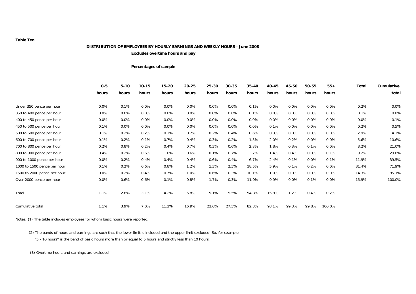#### **DISTRIBUTION OF EMPLOYEES BY HOURLY EARNINGS AND WEEKLY HOURS - June 2008**

**Excludes overtime hours and pay**

#### **Percentages of sample**

|                             | $0-5$   | $5 - 10$ | $10 - 15$ | $15 - 20$ | $20 - 25$ | $25 - 30$ | $30 - 35$ | $35-40$ | 40-45 | 45-50 | 50-55   | $55+$   | <b>Total</b> | Cumulative |
|-----------------------------|---------|----------|-----------|-----------|-----------|-----------|-----------|---------|-------|-------|---------|---------|--------------|------------|
|                             | hours   | hours    | hours     | hours     | hours     | hours     | hours     | hours   | hours | hours | hours   | hours   |              | total      |
|                             | $0.0\%$ | 0.1%     | $0.0\%$   | $0.0\%$   | 0.0%      | 0.0%      | 0.0%      | 0.1%    | 0.0%  | 0.0%  | $0.0\%$ | $0.0\%$ | 0.2%         | 0.0%       |
| Under 350 pence per hour    |         |          |           |           |           |           |           |         |       |       |         |         |              |            |
| 350 to 400 pence per hour   | $0.0\%$ | 0.0%     | $0.0\%$   | $0.0\%$   | 0.0%      | 0.0%      | 0.0%      | 0.1%    | 0.0%  | 0.0%  | 0.0%    | 0.0%    | 0.1%         | 0.0%       |
| 400 to 450 pence per hour   | $0.0\%$ | $0.0\%$  | $0.0\%$   | $0.0\%$   | $0.0\%$   | $0.0\%$   | $0.0\%$   | 0.0%    | 0.0%  | 0.0%  | $0.0\%$ | $0.0\%$ | $0.0\%$      | 0.1%       |
| 450 to 500 pence per hour   | 0.1%    | 0.0%     | $0.0\%$   | 0.0%      | 0.0%      | 0.0%      | 0.0%      | 0.0%    | 0.1%  | 0.0%  | 0.0%    | 0.0%    | 0.2%         | 0.5%       |
| 500 to 600 pence per hour   | 0.1%    | 0.2%     | 0.2%      | 0.1%      | 0.7%      | 0.2%      | 0.4%      | 0.6%    | 0.3%  | 0.0%  | $0.0\%$ | $0.0\%$ | 2.9%         | 4.1%       |
| 600 to 700 pence per hour   | 0.1%    | 0.2%     | 0.1%      | 0.7%      | 0.4%      | 0.3%      | 0.2%      | 1.3%    | 2.0%  | 0.2%  | $0.0\%$ | $0.0\%$ | 5.6%         | 10.6%      |
| 700 to 800 pence per hour   | 0.2%    | 0.8%     | 0.2%      | 0.4%      | 0.7%      | 0.3%      | 0.6%      | 2.8%    | 1.8%  | 0.3%  | 0.1%    | $0.0\%$ | 8.2%         | 21.0%      |
| 800 to 900 pence per hour   | 0.4%    | 0.2%     | 0.6%      | 1.0%      | 0.6%      | 0.1%      | 0.7%      | 3.7%    | 1.4%  | 0.4%  | $0.0\%$ | 0.1%    | 9.2%         | 29.8%      |
| 900 to 1000 pence per hour  | $0.0\%$ | 0.2%     | 0.4%      | 0.4%      | 0.4%      | 0.6%      | 0.4%      | 6.7%    | 2.4%  | 0.1%  | $0.0\%$ | 0.1%    | 11.9%        | 39.5%      |
| 1000 to 1500 pence per hour | 0.1%    | 0.2%     | 0.6%      | 0.8%      | 1.2%      | 1.3%      | 2.5%      | 18.5%   | 5.9%  | 0.1%  | 0.2%    | 0.0%    | 31.4%        | 71.9%      |
| 1500 to 2000 pence per hour | $0.0\%$ | 0.2%     | 0.4%      | 0.7%      | 1.0%      | 0.6%      | 0.3%      | 10.1%   | 1.0%  | 0.0%  | 0.0%    | $0.0\%$ | 14.3%        | 85.1%      |
| Over 2000 pence per hour    | 0.0%    | 0.6%     | 0.6%      | 0.1%      | 0.8%      | 1.7%      | 0.3%      | 11.0%   | 0.9%  | 0.0%  | 0.1%    | $0.0\%$ | 15.9%        | 100.0%     |
| Total                       | 1.1%    | 2.8%     | 3.1%      | 4.2%      | 5.8%      | 5.1%      | 5.5%      | 54.8%   | 15.8% | 1.2%  | 0.4%    | 0.2%    |              |            |
| Cumulative total            | 1.1%    | 3.9%     | 7.0%      | 11.2%     | 16.9%     | 22.0%     | 27.5%     | 82.3%   | 98.1% | 99.3% | 99.8%   | 100.0%  |              |            |

Notes: (1) The table includes employees for whom basic hours were reported.

(2) The bands of hours and earnings are such that the lower limit is included and the upper limit excluded. So, for example,

"5 - 10 hours" is the band of basic hours more than or equal to 5 hours and strictly less than 10 hours.

(3) Overtime hours and earnings are excluded.

#### **Table Ten**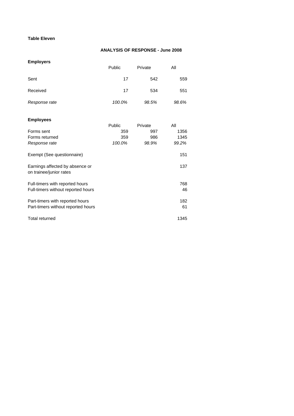### **Table Eleven**

### **ANALYSIS OF RESPONSE - June 2008**

### **Employers**

|                                                                       | Public | Private | All       |
|-----------------------------------------------------------------------|--------|---------|-----------|
| Sent                                                                  | 17     | 542     | 559       |
| Received                                                              | 17     | 534     | 551       |
| Response rate                                                         | 100.0% | 98.5%   | 98.6%     |
| <b>Employees</b>                                                      |        |         |           |
|                                                                       | Public | Private | All       |
| Forms sent                                                            | 359    | 997     | 1356      |
| Forms returned                                                        | 359    | 986     | 1345      |
| Response rate                                                         | 100.0% | 98.9%   | 99.2%     |
| Exempt (See questionnaire)                                            |        |         | 151       |
| Earnings affected by absence or<br>on trainee/junior rates            |        |         | 137       |
| Full-timers with reported hours<br>Full-timers without reported hours |        |         | 768<br>46 |
| Part-timers with reported hours<br>Part-timers without reported hours |        |         | 182<br>61 |

| 1345 |
|------|
|      |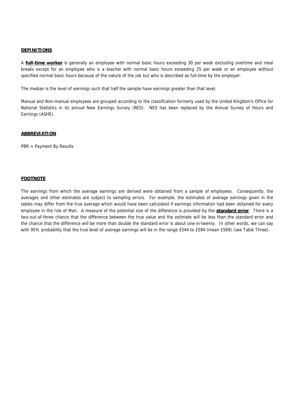### **DEFINITIONS**

A **full-time worker** is generally an employee with normal basic hours exceeding 30 per week excluding overtime and meal breaks except for an employee who is a teacher with normal basic hours exceeding 25 per week or an employee without specified normal basic hours because of the nature of the job but who is described as full-time by the employer.

The median is the level of earnings such that half the sample have earnings greater than that level.

Manual and Non-manual employees are grouped according to the classification formerly used by the United Kingdom's Office for National Statistics in its annual New Earnings Survey (NES). NES has been replaced by the Annual Survey of Hours and Earnings (ASHE).

### **ABBREVIATION**

PBR = Payment By Results

#### **FOOTNOTE**

The earnings from which the average earnings are derived were obtained from a sample of employees. Consequently, the averages and other estimates are subject to sampling errors. For example, the estimates of average earnings given in the tables may differ from the true average which would have been calculated if earnings information had been obtained for every employee in the Isle of Man. A measure of the potential size of the difference is provided by the **standard error**. There is a two-out-of-three chance that the difference between the true value and the estimate will be less than the standard error and the chance that the difference will be more than double the standard error is about one-in-twenty. In other words, we can say with 95% probability that the true level of average earnings will be in the range £544 to £594 (mean £569) (see Table Three).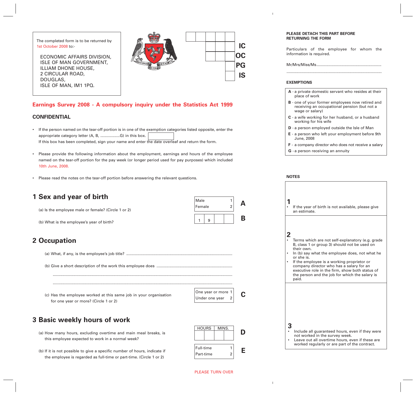The completed form is to be returned by 1st October 2008 to:-

ECONOMIC AFFAIRS DIVISION, ISLE OF MAN GOVERNMENT, ILLIAM DHONE HOUSE, 2 CIRCULAR ROAD, DOUGLAS, ISLE OF MAN, IM1 1PQ.



**IC**

**OC**

**PG**

**IS**

**A**

**B**

### **Earnings Survey 2008 - A compulsory inquiry under the Statistics Act 1999**

### **CONFIDENTIAL**

- If the person named on the tear-off portion is in one of the exemption categories listed opposite, enter the appropriate category letter (A, B, ..................G) in this box. If this box has been completed, sign your name and enter the date overleaf and return the form.
- Please provide the following information about the employment, earnings and hours of the employee named on the tear-off portion for the pay week (or longer period used for pay purposes) which included 10th June, 2008.
- Please read the notes on the tear-off portion before answering the relevant questions.

## **1 Sex and year of birth**

(a) Is the employee male or female? (Circle 1 or 2)

(b) What is the employee's year of birth?

## **2 Occupation**

(a) What, if any, is the employee's job title? ..................................................................................................

(b) Give a short description of the work this employee does ......................................................................

...................................................................................................................................................................... ......................................................................................................................................................................

(c) Has the employee worked at this same job in your organisation for one year or more? (Circle 1 or 2)

| One year or more $1$ |             |  |
|----------------------|-------------|--|
| Under one year       | $2^{\circ}$ |  |

 $1 \mid 9$ 

Male 1 Female

## **3 Basic weekly hours of work**

(a) How many hours, excluding overtime and main meal breaks, is this employee expected to work in a normal week?

(b) If it is not possible to give a specific number of hours, indicate if the employee is regarded as full-time or part-time. (Circle 1 or 2)



### **PLEASE DETACH THIS PART BEFORE RETURNING THE FORM**

Particulars of the employee for whom the information is required.

Mr/Mrs/Miss/Ms............................................................

........................................................................................

### **EXEMPTIONS**

- **A** a private domestic servant who resides at their place of work
- **B** one of your former employees now retired and receiving an occupational pension (but not a wage or salary)
- **C** a wife working for her husband, or a husband working for his wife
- **D** a person employed outside the Isle of Man
- **E** a person who left your employment before 9th June, 2008
- **F** a company director who does not receive a salary
- **G** a person receiving an annuity

### **NOTES**

|                | If the year of birth is not available, please give<br>an estimate.                                                                                                                                                                                                                                                                                                                     |
|----------------|----------------------------------------------------------------------------------------------------------------------------------------------------------------------------------------------------------------------------------------------------------------------------------------------------------------------------------------------------------------------------------------|
| $\overline{2}$ | Terms which are not self-explanatory (e.g. grade<br>B, class 1 or group 3) should not be used on<br>their own.<br>In (b) say what the employee does, not what he<br>or she is.<br>If the employee is a working proprietor or<br>company director who has a salary for an<br>executive role in the firm, show both status of<br>the person and the job for which the salary is<br>paid. |
| 3              | Include all guaranteed hours, even if they were<br>not worked in the survey week.<br>Leave out all overtime hours, even if these are<br>worked regularly or are part of the contract.                                                                                                                                                                                                  |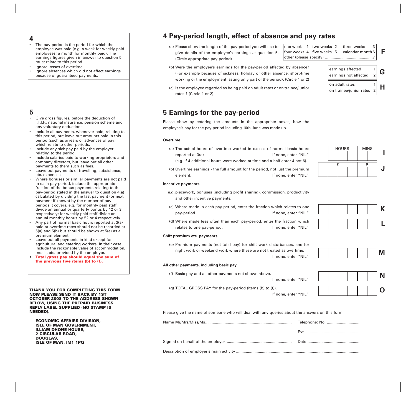- The pay-period is the period for which the employee was paid (e.g. a week for weekly paid employees; a month for monthly paid). The earnings figures given in answer to question 5 must relate to this period.
- lanore losses of overtime. • Ignore absences which did not affect earnings because of guaranteed payments.

### **5**

**4**

- Give gross figures, before the deduction of I.T.I.P., national insurance, pension scheme and any voluntary deductions.
- Include all payments, whenever paid, relating to this period, but leave out amounts paid in this period (such as arrears or advances of pay) which relate to other periods.
- Include any sick pay paid by the employer relating to the period.
- Include salaries paid to working proprietors and company directors, but leave out all other payments to them such as fees.
- Leave out payments of travelling, subsistence, etc. expenses.
- Where bonuses or similar payments are not paid in each pay-period, include the appropriate fraction of the bonus payments relating to the pay-period stated in the answer to question 4(a) calculated by dividing the last payment (or next payment if known) by the number of payperiods it covers, e.g. for monthly paid staff, divide an annual or quarterly bonus by 12 or 3 respectively; for weekly paid staff divide an annual monthly bonus by 52 or 4 respectively.
- Any part of normal basic hours reported at 3(a) paid at overtime rates should not be recorded at 5(a) and 5(b) but should be shown at 5(e) as a premium element.
- Leave out all payments in kind except for agricultural and catering workers. In their case include the reckonable value of accommodation, meals, etc. provided by the employer.
- **• Total gross pay should equal the sum of the previous five items (b) to (f).**

#### **THANK YOU FOR COMPLETING THIS FORM. NOW PLEASE SEND IT BACK BY 1ST OCTOBER 2008 TO THE ADDRESS SHOWN BELOW, USING THE PREPAID BUSINESS REPLY LABEL SUPPLIED (NO STAMP IS NEEDED).**

**ECONOMIC AFFAIRS DIVISION, ISLE OF MAN GOVERNMENT, ILLIAM DHONE HOUSE, 2 CIRCULAR ROAD, DOUGLAS, ISLE OF MAN, IM1 1PQ**

## **4 Pay-period length, effect of absence and pay rates**

(a) Please show the length of the pay-period you will use to give details of the employee's earnings at question 5. (Circle appropriate pay-period)

one week 1 two weeks 2 three weeks four weeks 4 five weeks 5 calendar month 6 other (please specify) ............................................7 **F**

on adult rates 1

on trainee/junior rates 2

- (b) Were the employee's earnings for the pay-period affected by absence? (For example because of sickness, holiday or other absence, short-time working or the employment lasting only part of the period). (Circle 1 or 2)
- (c) Is the employee regarded as being paid on adult rates or on trainee/junior rates ? (Circle 1 or 2)

## **5 Earnings for the pay-period**

Please show by entering the amounts in the appropriate boxes, how the employee's pay for the pay-period including 10th June was made up.

### **Overtime**

- (a) The actual hours of overtime worked in excess of normal basic hours reported at 3(a) The set of the set of the set of the If none, enter "NIL"
	- (e.g. if 4 additional hours were worked at time and a half enter 4 not 6).
- (b) Overtime earnings the full amount for the period, not just the premium element. If none, enter "NIL"

### **Incentive payments**

- e.g. piecework, bonuses (including profit sharing), commission, productivity and other incentive payments.
- (c) Where made in each pay-period, enter the fraction which relates to one pay-period. If none, enter "NIL"
- (d) Where made less often than each pay-period, enter the fraction which relates to one pay-period. The same section of the set of the relates to one pay-

### **Shift premium etc. payments**

**All other payments, including basic pay**

(e) Premium payments (not total pay) for shift work disturbances, and for night work or weekend work where these are not treated as overtime.

If none, enter "NIL"

If none, enter "NIL"



(g) TOTAL GROSS PAY for the pay-period (items (b) to (f)). If none, enter "NIL"

(f) Basic pay and all other payments not shown above.

Please give the name of someone who will deal with any queries about the answers on this form.

**I J** HOURS | MINS  $E$  P

earnings affected  $\begin{vmatrix} 1 \\ 2 \end{vmatrix}$  **G** 

**H**